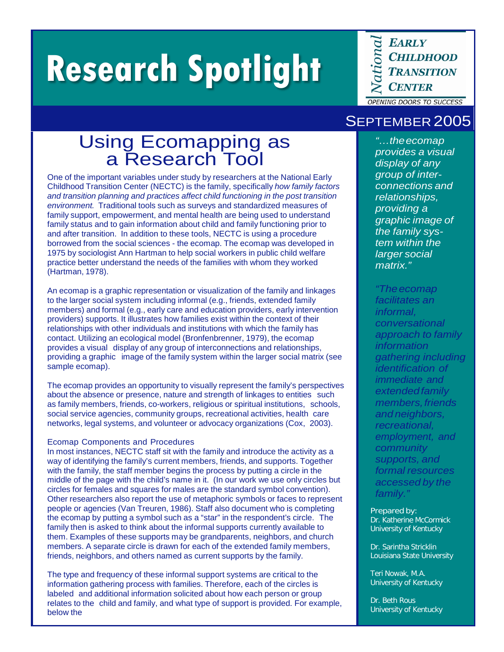# **Research Spotlight**

**EARLY CHILDHOOD TRANSITION CENTER** 

**OPENING DOORS TO SUCCESS** 

## Using Ecomapping as a Research Tool

One of the important variables under study by researchers at the National Early Childhood Transition Center (NECTC) is the family, specifically *how family factors and transition planning and practices affect child functioning in the post transition environment.* Traditional tools such as surveys and standardized measures of family support, empowerment, and mental health are being used to understand family status and to gain information about child and family functioning prior to and after transition. In addition to these tools, NECTC is using a procedure borrowed from the social sciences - the ecomap. The ecomap was developed in 1975 by sociologist Ann Hartman to help social workers in public child welfare practice better understand the needs of the families with whom they worked (Hartman, 1978).

An ecomap is a graphic representation or visualization of the family and linkages to the larger social system including informal (e.g., friends, extended family members) and formal (e.g., early care and education providers, early intervention providers) supports. It illustrates how families exist within the context of their relationships with other individuals and institutions with which the family has contact. Utilizing an ecological model (Bronfenbrenner, 1979), the ecomap provides a visual display of any group of interconnections and relationships, providing a graphic image of the family system within the larger social matrix (see sample ecomap).

The ecomap provides an opportunity to visually represent the family's perspectives about the absence or presence, nature and strength of linkages to entities such as family members, friends, co-workers, religious or spiritual institutions, schools, social service agencies, community groups, recreational activities, health care networks, legal systems, and volunteer or advocacy organizations (Cox, 2003).

## Ecomap Components and Procedures

In most instances, NECTC staff sit with the family and introduce the activity as a way of identifying the family's current members, friends, and supports. Together with the family, the staff member begins the process by putting a circle in the middle of the page with the child's name in it. (In our work we use only circles but circles for females and squares for males are the standard symbol convention). Other researchers also report the use of metaphoric symbols or faces to represent people or agencies (Van Treuren, 1986). Staff also document who is completing the ecomap by putting a symbol such as a "star" in the respondent's circle. The family then is asked to think about the informal supports currently available to them. Examples of these supports may be grandparents, neighbors, and church members. A separate circle is drawn for each of the extended family members, friends, neighbors, and others named as current supports by the family.

The type and frequency of these informal support systems are critical to the information gathering process with families. Therefore, each of the circles is labeled and additional information solicited about how each person or group relates to the child and family, and what type of support is provided. For example, below the

## SEPTEMBER 2005

*"…theecomap provides a visual display of any group of interconnections and relationships, providing a graphic image of the family system within the larger social matrix."*

*"Theecomap facilitates an informal, conversational approach to family information gathering including identification of immediate and extendedfamily members,friends and neighbors, recreational, employment, and community supports, and formal resources accessed by the family."*

Prepared by: Dr. Katherine McCormick University of Kentucky

Dr. Sarintha Stricklin Louisiana State University

Teri Nowak, M.A. University of Kentucky

Dr. Beth Rous University of Kentucky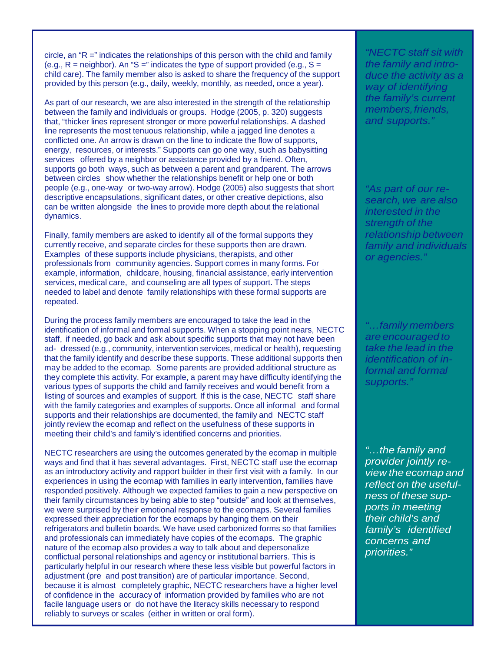circle, an "R =" indicates the relationships of this person with the child and family (e.g.,  $R$  = neighbor). An "S =" indicates the type of support provided (e.g.,  $S$  = child care). The family member also is asked to share the frequency of the support provided by this person (e.g., daily, weekly, monthly, as needed, once a year).

As part of our research, we are also interested in the strength of the relationship between the family and individuals or groups. Hodge (2005, p. 320) suggests that, "thicker lines represent stronger or more powerful relationships. A dashed line represents the most tenuous relationship, while a jagged line denotes a conflicted one. An arrow is drawn on the line to indicate the flow of supports, energy, resources, or interests." Supports can go one way, such as babysitting services offered by a neighbor or assistance provided by a friend. Often, supports go both ways, such as between a parent and grandparent. The arrows between circles show whether the relationships benefit or help one or both people (e.g., one-way or two-way arrow). Hodge (2005) also suggests that short descriptive encapsulations, significant dates, or other creative depictions, also can be written alongside the lines to provide more depth about the relational dynamics.

Finally, family members are asked to identify all of the formal supports they currently receive, and separate circles for these supports then are drawn. Examples of these supports include physicians, therapists, and other professionals from community agencies. Support comes in many forms. For example, information, childcare, housing, financial assistance, early intervention services, medical care, and counseling are all types of support. The steps needed to label and denote family relationships with these formal supports are repeated.

During the process family members are encouraged to take the lead in the identification of informal and formal supports. When a stopping point nears, NECTC staff, if needed, go back and ask about specific supports that may not have been ad- dressed (e.g., community, intervention services, medical or health), requesting that the family identify and describe these supports. These additional supports then may be added to the ecomap. Some parents are provided additional structure as they complete this activity. For example, a parent may have difficulty identifying the various types of supports the child and family receives and would benefit from a listing of sources and examples of support. If this is the case, NECTC staff share with the family categories and examples of supports. Once all informal and formal supports and their relationships are documented, the family and NECTC staff jointly review the ecomap and reflect on the usefulness of these supports in meeting their child's and family's identified concerns and priorities.

NECTC researchers are using the outcomes generated by the ecomap in multiple ways and find that it has several advantages. First, NECTC staff use the ecomap as an introductory activity and rapport builder in their first visit with a family. In our experiences in using the ecomap with families in early intervention, families have responded positively. Although we expected families to gain a new perspective on their family circumstances by being able to step "outside" and look at themselves, we were surprised by their emotional response to the ecomaps. Several families expressed their appreciation for the ecomaps by hanging them on their refrigerators and bulletin boards. We have used carbonized forms so that families and professionals can immediately have copies of the ecomaps. The graphic nature of the ecomap also provides a way to talk about and depersonalize conflictual personal relationships and agency or institutional barriers. This is particularly helpful in our research where these less visible but powerful factors in adjustment (pre and post transition) are of particular importance. Second, because it is almost completely graphic, NECTC researchers have a higher level of confidence in the accuracy of information provided by families who are not facile language users or do not have the literacy skills necessary to respond reliably to surveys or scales (either in written or oral form).

*"NECTC staff sit with the family and introduce the activity as a way of identifying the family's current members,friends, and supports."*

*"As part of our research, we are also interested in the strength of the relationship between family and individuals or agencies."*

*"…family members are encouraged to take the lead in the identification of informal and formal supports."*

*"…the family and provider jointly review the ecomap and reflect on the usefulness of these supports in meeting their child's and family's identified concerns and priorities."*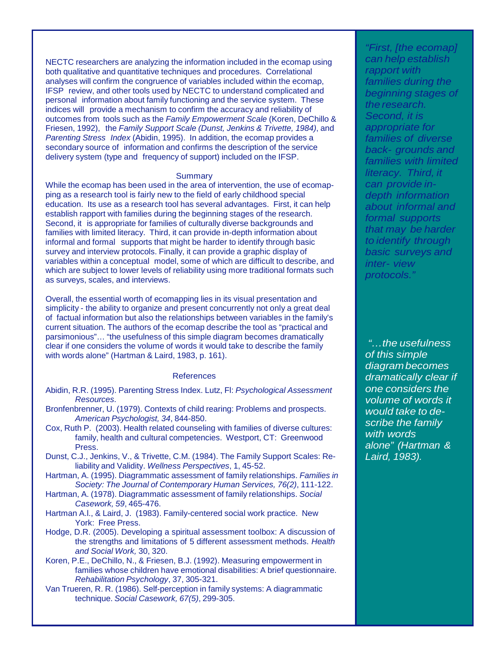NECTC researchers are analyzing the information included in the ecomap using both qualitative and quantitative techniques and procedures. Correlational analyses will confirm the congruence of variables included within the ecomap, IFSP review, and other tools used by NECTC to understand complicated and personal information about family functioning and the service system. These indices will provide a mechanism to confirm the accuracy and reliability of outcomes from tools such as the *Family Empowerment Scale* (Koren, DeChillo & Friesen, 1992), the *Family Support Scale (Dunst, Jenkins & Trivette, 1984)*, and *Parenting Stress Index* (Abidin, 1995). In addition, the ecomap provides a secondary source of information and confirms the description of the service delivery system (type and frequency of support) included on the IFSP.

### **Summary**

While the ecomap has been used in the area of intervention, the use of ecomapping as a research tool is fairly new to the field of early childhood special education. Its use as a research tool has several advantages. First, it can help establish rapport with families during the beginning stages of the research. Second, it is appropriate for families of culturally diverse backgrounds and families with limited literacy. Third, it can provide in-depth information about informal and formal supports that might be harder to identify through basic survey and interview protocols. Finally, it can provide a graphic display of variables within a conceptual model, some of which are difficult to describe, and which are subject to lower levels of reliability using more traditional formats such as surveys, scales, and interviews.

Overall, the essential worth of ecomapping lies in its visual presentation and simplicity - the ability to organize and present concurrently not only a great deal of factual information but also the relationships between variables in the family's current situation. The authors of the ecomap describe the tool as "practical and parsimonious"… "the usefulness of this simple diagram becomes dramatically clear if one considers the volume of words it would take to describe the family with words alone" (Hartman & Laird, 1983, p. 161).

#### References

- Abidin, R.R. (1995). Parenting Stress Index. Lutz, Fl: *Psychological Assessment Resources*.
- Bronfenbrenner, U. (1979). Contexts of child rearing: Problems and prospects. *American Psychologist, 34*, 844-850.
- Cox, Ruth P. (2003). Health related counseling with families of diverse cultures: family, health and cultural competencies. Westport, CT: Greenwood Press.
- Dunst, C.J., Jenkins, V., & Trivette, C.M. (1984). The Family Support Scales: Reliability and Validity. *Wellness Perspectives*, 1, 45-52.
- Hartman, A. (1995). Diagrammatic assessment of family relationships. *Families in Society: The Journal of Contemporary Human Services, 76(2)*, 111-122.
- Hartman, A. (1978). Diagrammatic assessment of family relationships. *Social Casework, 59*, 465-476.
- Hartman A.l., & Laird, J. (1983). Family-centered social work practice. New York: Free Press.
- Hodge, D.R. (2005). Developing a spiritual assessment toolbox: A discussion of the strengths and limitations of 5 different assessment methods. *Health and Social Work,* 30, 320.
- Koren, P.E., DeChillo, N., & Friesen, B.J. (1992). Measuring empowerment in families whose children have emotional disabilities: A brief questionnaire. *Rehabilitation Psychology*, 37, 305-321.
- Van Trueren, R. R. (1986). Self-perception in family systems: A diagrammatic technique. *Social Casework, 67(5)*, 299-305.

*"First, [the ecomap] can help establish rapport with families during the beginning stages of the research. Second, it is appropriate for families of diverse back- grounds and families with limited literacy. Third, it can provide indepth information about informal and formal supports that may be harder to identify through basic surveys and inter- view protocols."*

*"…the usefulness of this simple diagrambecomes dramatically clear if one considers the volume of words it would take to describe the family with words alone" (Hartman & Laird, 1983).*